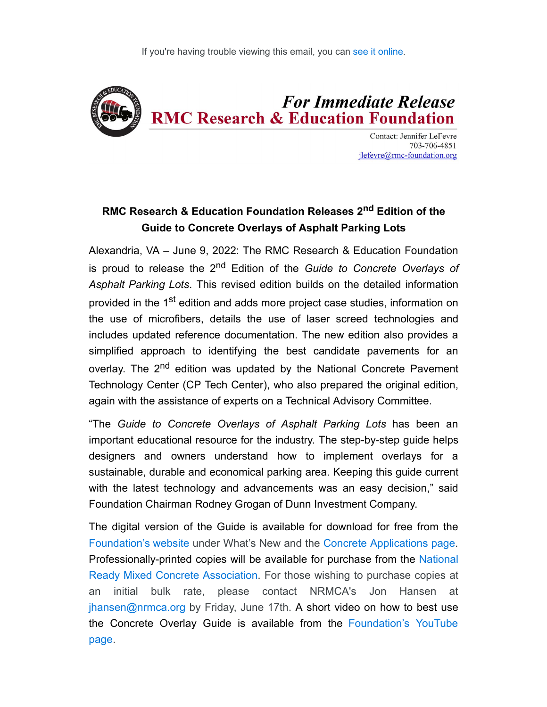

**Contact: Jennifer LeFevre** 703-706-4851  $ilefevre@rmc$ -foundation.org

## **RMC Research & Education Foundation Releases 2nd Edition of the Guide to Concrete Overlays of Asphalt Parking Lots**

Alexandria, VA – June 9, 2022: The RMC Research & Education Foundation is proud to release the 2<sup>nd</sup> Edition of the *Guide to Concrete Overlays of Asphalt Parking Lots*. This revised edition builds on the detailed information provided in the 1<sup>st</sup> edition and adds more project case studies, information on the use of microfibers, details the use of laser screed technologies and includes updated reference documentation. The new edition also provides a simplified approach to identifying the best candidate pavements for an overlay. The 2<sup>nd</sup> edition was updated by the National Concrete Pavement Technology Center (CP Tech Center), who also prepared the original edition, again with the assistance of experts on a Technical Advisory Committee.

"The *Guide to Concrete Overlays of Asphalt Parking Lots* has been an important educational resource for the industry. The step-by-step guide helps designers and owners understand how to implement overlays for a sustainable, durable and economical parking area. Keeping this guide current with the latest technology and advancements was an easy decision," said Foundation Chairman Rodney Grogan of Dunn Investment Company.

The digital version of the Guide is available for download for free from the [Foundation's website](https://rmcfoundation.app.neoncrm.com/track//servlet/DisplayLink?orgId=rmcfoundation&emailId=078e0a1a3ce6ae4058832f974b7aa1750m12469078&&linkId=7582&targetUrl=https://rmc-foundation.org/) under What's New and the [Concrete Applications page.](https://rmcfoundation.app.neoncrm.com/track//servlet/DisplayLink?orgId=rmcfoundation&emailId=078e0a1a3ce6ae4058832f974b7aa1750m12469078&&linkId=7580&targetUrl=https://rmc-foundation.org/concrete-applications/) Professionally-printed copies will be available for purchase from the National [Ready Mixed Concrete Association. For those wishing to purchase copies at](https://rmcfoundation.app.neoncrm.com/track//servlet/DisplayLink?orgId=rmcfoundation&emailId=078e0a1a3ce6ae4058832f974b7aa1750m12469078&&linkId=7578&targetUrl=https://www.nrmca.org/) an initial bulk rate, please contact NRMCA's Jon Hansen at [jhansen@nrmca.org](mailto:jhansen@nrmca.org) by Friday, June 17th. A short video on how to best use [the Concrete Overlay Guide is available from the](https://rmcfoundation.app.neoncrm.com/track//servlet/DisplayLink?orgId=rmcfoundation&emailId=078e0a1a3ce6ae4058832f974b7aa1750m12469078&&linkId=7576&targetUrl=https://www.youtube.com/channel/UCmErq-EjiQTB_bcnPZLTmbg) Foundation's YouTube page.